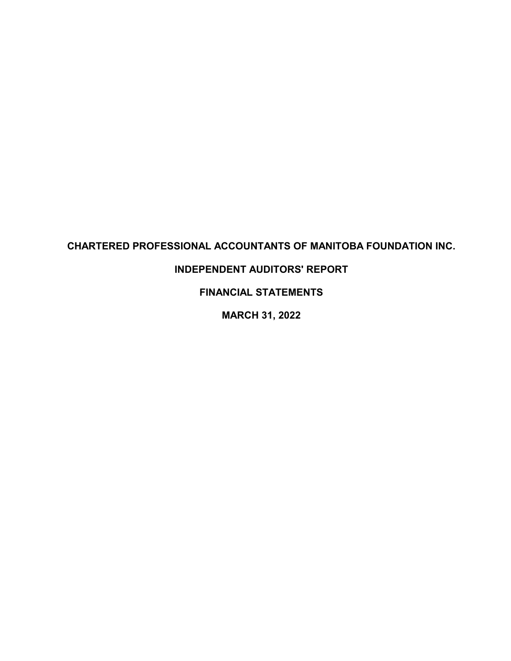# **CHARTERED PROFESSIONAL ACCOUNTANTS OF MANITOBA FOUNDATION INC. INDEPENDENT AUDITORS' REPORT**

**FINANCIAL STATEMENTS**

**MARCH 31, 2022**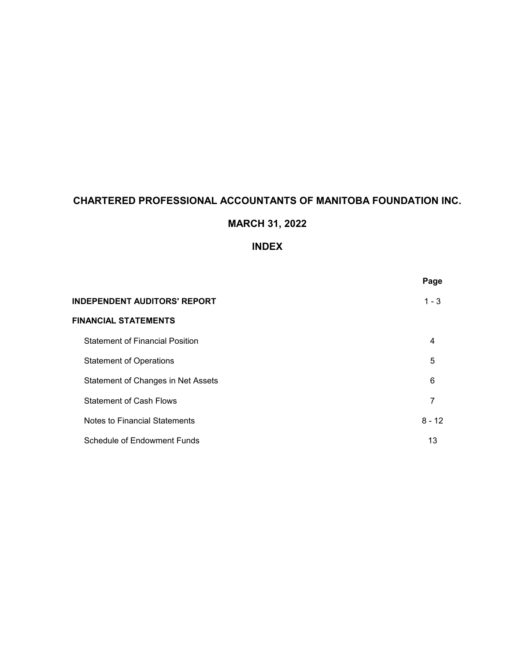# **CHARTERED PROFESSIONAL ACCOUNTANTS OF MANITOBA FOUNDATION INC.**

# **MARCH 31, 2022**

# **INDEX**

|                                        | Page     |
|----------------------------------------|----------|
| <b>INDEPENDENT AUDITORS' REPORT</b>    | $1 - 3$  |
| <b>FINANCIAL STATEMENTS</b>            |          |
| <b>Statement of Financial Position</b> | 4        |
| <b>Statement of Operations</b>         | 5        |
| Statement of Changes in Net Assets     | 6        |
| <b>Statement of Cash Flows</b>         | 7        |
| Notes to Financial Statements          | $8 - 12$ |
| Schedule of Endowment Funds            | 13       |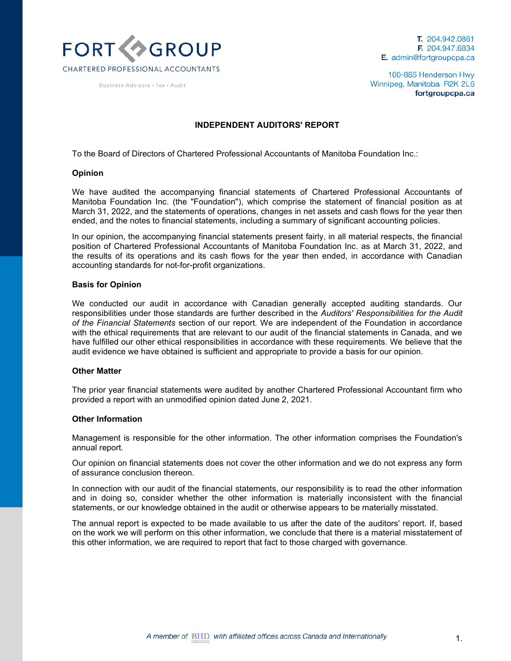

Business Advisors . Tax . Audit

100-865 Henderson Hwy Winnipeg, Manitoba R2K 2L6 fortgroupcpa.ca

#### **INDEPENDENT AUDITORS' REPORT**

To the Board of Directors of Chartered Professional Accountants of Manitoba Foundation Inc.:

#### **Opinion**

We have audited the accompanying financial statements of Chartered Professional Accountants of Manitoba Foundation Inc. (the "Foundation"), which comprise the statement of financial position as at March 31, 2022, and the statements of operations, changes in net assets and cash flows for the year then ended, and the notes to financial statements, including a summary of significant accounting policies.

In our opinion, the accompanying financial statements present fairly, in all material respects, the financial position of Chartered Professional Accountants of Manitoba Foundation Inc. as at March 31, 2022, and the results of its operations and its cash flows for the year then ended, in accordance with Canadian accounting standards for not-for-profit organizations.

#### **Basis for Opinion**

We conducted our audit in accordance with Canadian generally accepted auditing standards. Our responsibilities under those standards are further described in the *Auditors' Responsibilities for the Audit of the Financial Statements* section of our report. We are independent of the Foundation in accordance with the ethical requirements that are relevant to our audit of the financial statements in Canada, and we have fulfilled our other ethical responsibilities in accordance with these requirements. We believe that the audit evidence we have obtained is sufficient and appropriate to provide a basis for our opinion.

#### **Other Matter**

The prior year financial statements were audited by another Chartered Professional Accountant firm who provided a report with an unmodified opinion dated June 2, 2021.

#### **Other Information**

Management is responsible for the other information. The other information comprises the Foundation's annual report.

Our opinion on financial statements does not cover the other information and we do not express any form of assurance conclusion thereon.

In connection with our audit of the financial statements, our responsibility is to read the other information and in doing so, consider whether the other information is materially inconsistent with the financial statements, or our knowledge obtained in the audit or otherwise appears to be materially misstated.

The annual report is expected to be made available to us after the date of the auditors' report. If, based on the work we will perform on this other information, we conclude that there is a material misstatement of this other information, we are required to report that fact to those charged with governance.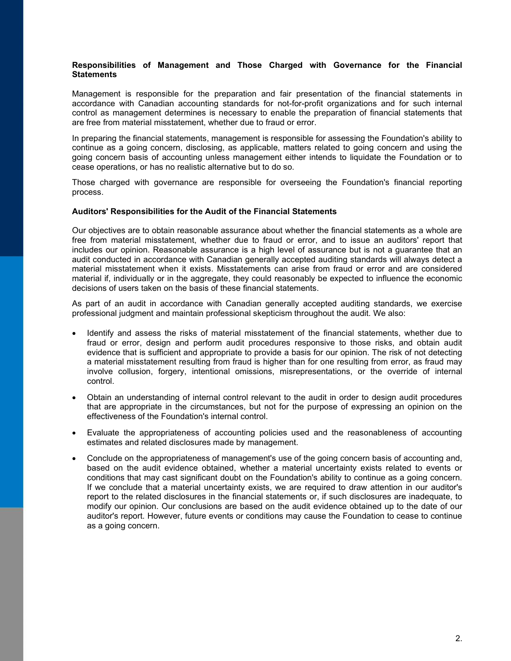#### **Responsibilities of Management and Those Charged with Governance for the Financial Statements**

Management is responsible for the preparation and fair presentation of the financial statements in accordance with Canadian accounting standards for not-for-profit organizations and for such internal control as management determines is necessary to enable the preparation of financial statements that are free from material misstatement, whether due to fraud or error.

In preparing the financial statements, management is responsible for assessing the Foundation's ability to continue as a going concern, disclosing, as applicable, matters related to going concern and using the going concern basis of accounting unless management either intends to liquidate the Foundation or to cease operations, or has no realistic alternative but to do so.

Those charged with governance are responsible for overseeing the Foundation's financial reporting process.

#### **Auditors' Responsibilities for the Audit of the Financial Statements**

Our objectives are to obtain reasonable assurance about whether the financial statements as a whole are free from material misstatement, whether due to fraud or error, and to issue an auditors' report that includes our opinion. Reasonable assurance is a high level of assurance but is not a guarantee that an audit conducted in accordance with Canadian generally accepted auditing standards will always detect a material misstatement when it exists. Misstatements can arise from fraud or error and are considered material if, individually or in the aggregate, they could reasonably be expected to influence the economic decisions of users taken on the basis of these financial statements.

As part of an audit in accordance with Canadian generally accepted auditing standards, we exercise professional judgment and maintain professional skepticism throughout the audit. We also:

- Identify and assess the risks of material misstatement of the financial statements, whether due to fraud or error, design and perform audit procedures responsive to those risks, and obtain audit evidence that is sufficient and appropriate to provide a basis for our opinion. The risk of not detecting a material misstatement resulting from fraud is higher than for one resulting from error, as fraud may involve collusion, forgery, intentional omissions, misrepresentations, or the override of internal control.
- Obtain an understanding of internal control relevant to the audit in order to design audit procedures that are appropriate in the circumstances, but not for the purpose of expressing an opinion on the effectiveness of the Foundation's internal control.
- Evaluate the appropriateness of accounting policies used and the reasonableness of accounting estimates and related disclosures made by management.
- Conclude on the appropriateness of management's use of the going concern basis of accounting and, based on the audit evidence obtained, whether a material uncertainty exists related to events or conditions that may cast significant doubt on the Foundation's ability to continue as a going concern. If we conclude that a material uncertainty exists, we are required to draw attention in our auditor's report to the related disclosures in the financial statements or, if such disclosures are inadequate, to modify our opinion. Our conclusions are based on the audit evidence obtained up to the date of our auditor's report. However, future events or conditions may cause the Foundation to cease to continue as a going concern.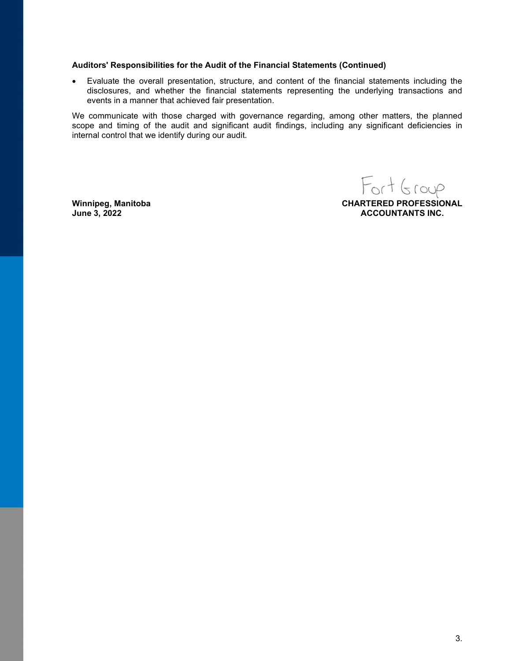#### **Auditors' Responsibilities for the Audit of the Financial Statements (Continued)**

 Evaluate the overall presentation, structure, and content of the financial statements including the disclosures, and whether the financial statements representing the underlying transactions and events in a manner that achieved fair presentation.

We communicate with those charged with governance regarding, among other matters, the planned scope and timing of the audit and significant audit findings, including any significant deficiencies in internal control that we identify during our audit.

Fort Group

Winnipeg, Manitoba **CHARTERED PROFESSIONAL**<br>
June 3, 2022 **ACCOUNTANTS INC.**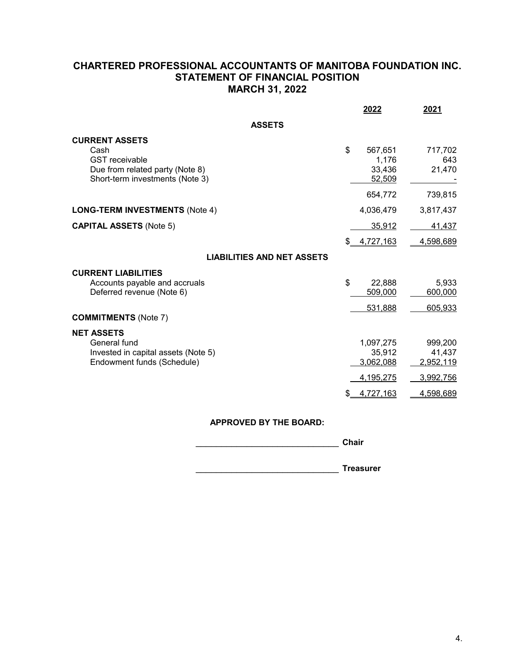# **CHARTERED PROFESSIONAL ACCOUNTANTS OF MANITOBA FOUNDATION INC. STATEMENT OF FINANCIAL POSITION MARCH 31, 2022**

|                                                                    |    | 2022                | 2021              |
|--------------------------------------------------------------------|----|---------------------|-------------------|
| <b>ASSETS</b>                                                      |    |                     |                   |
| <b>CURRENT ASSETS</b><br>Cash                                      | \$ | 567,651             | 717,702           |
| <b>GST</b> receivable                                              |    | 1,176               | 643               |
| Due from related party (Note 8)<br>Short-term investments (Note 3) |    | 33,436<br>52,509    | 21,470            |
|                                                                    |    | 654,772             | 739,815           |
| <b>LONG-TERM INVESTMENTS (Note 4)</b>                              |    | 4,036,479           | 3,817,437         |
| <b>CAPITAL ASSETS (Note 5)</b>                                     |    | 35,912              | 41,437            |
|                                                                    | S. | 4,727,163           | 4,598,689         |
| <b>LIABILITIES AND NET ASSETS</b>                                  |    |                     |                   |
| <b>CURRENT LIABILITIES</b>                                         |    |                     |                   |
| Accounts payable and accruals<br>Deferred revenue (Note 6)         | \$ | 22,888<br>509,000   | 5,933<br>600,000  |
| <b>COMMITMENTS (Note 7)</b>                                        |    | 531,888             | 605,933           |
| <b>NET ASSETS</b>                                                  |    |                     |                   |
| General fund<br>Invested in capital assets (Note 5)                |    | 1,097,275<br>35,912 | 999,200<br>41,437 |
| Endowment funds (Schedule)                                         |    | 3,062,088           | 2,952,119         |
|                                                                    |    | 4,195,275           | 3,992,756         |
|                                                                    |    | 4,727,163           | 4,598,689         |

### **APPROVED BY THE BOARD:**

\_\_\_\_\_\_\_\_\_\_\_\_\_\_\_\_\_\_\_\_\_\_\_\_\_\_\_\_ **Chair**

\_\_\_\_\_\_\_\_\_\_\_\_\_\_\_\_\_\_\_\_\_\_\_\_\_\_\_\_ **Treasurer**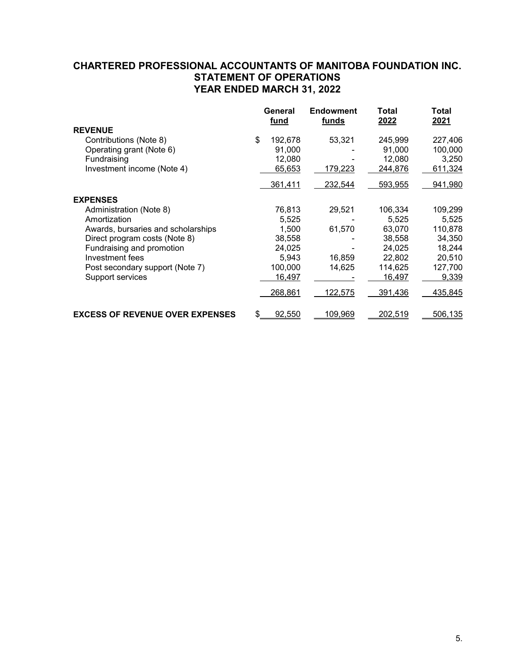# **CHARTERED PROFESSIONAL ACCOUNTANTS OF MANITOBA FOUNDATION INC. STATEMENT OF OPERATIONS YEAR ENDED MARCH 31, 2022**

|                                        | General<br>fund | <b>Endowment</b><br>funds | Total<br>2022 | <b>Total</b><br>2021 |
|----------------------------------------|-----------------|---------------------------|---------------|----------------------|
| <b>REVENUE</b>                         |                 |                           |               |                      |
| Contributions (Note 8)                 | \$<br>192,678   | 53,321                    | 245,999       | 227,406              |
| Operating grant (Note 6)               | 91,000          |                           | 91,000        | 100,000              |
| Fundraising                            | 12,080          |                           | 12,080        | 3,250                |
| Investment income (Note 4)             | 65,653          | 179,223                   | 244,876       | 611,324              |
|                                        | 361,411         | 232,544                   | 593,955       | 941,980              |
| <b>EXPENSES</b>                        |                 |                           |               |                      |
| Administration (Note 8)                | 76,813          | 29,521                    | 106,334       | 109,299              |
| Amortization                           |                 | 5,525                     | 5,525         | 5,525                |
| Awards, bursaries and scholarships     |                 | 1,500<br>61,570           | 63,070        | 110,878              |
| Direct program costs (Note 8)          | 38,558          |                           | 38,558        | 34,350               |
| Fundraising and promotion              | 24,025          |                           | 24,025        | 18,244               |
| Investment fees                        |                 | 5,943<br>16,859           | 22,802        | 20,510               |
| Post secondary support (Note 7)        | 100,000         | 14,625                    | 114,625       | 127,700              |
| Support services                       | 16,497          |                           | 16,497        | 9,339                |
|                                        | 268,861         | 122,575                   | 391,436       | 435,845              |
| <b>EXCESS OF REVENUE OVER EXPENSES</b> | 92,550<br>\$    | 109,969                   | 202,519       | 506,135              |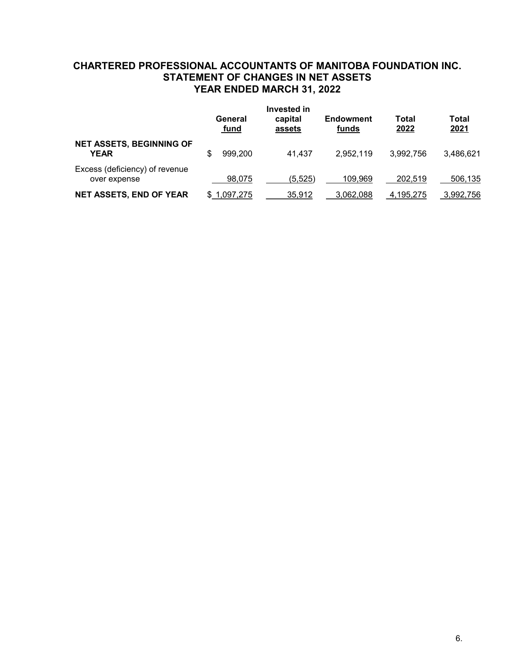# **CHARTERED PROFESSIONAL ACCOUNTANTS OF MANITOBA FOUNDATION INC. STATEMENT OF CHANGES IN NET ASSETS YEAR ENDED MARCH 31, 2022**

|                                                | General<br>fund |         | Invested in<br>capital<br>assets |          | <b>Endowment</b><br>funds |           | Total<br>2022 |         | Total<br>2021 |           |
|------------------------------------------------|-----------------|---------|----------------------------------|----------|---------------------------|-----------|---------------|---------|---------------|-----------|
| <b>NET ASSETS, BEGINNING OF</b><br><b>YEAR</b> | S.              | 999,200 |                                  | 41.437   |                           | 2.952.119 | 3.992.756     |         |               | 3.486.621 |
| Excess (deficiency) of revenue<br>over expense |                 | 98.075  |                                  | (5, 525) |                           | 109.969   |               | 202.519 |               | 506.135   |
| <b>NET ASSETS, END OF YEAR</b>                 | \$1,097,275     |         |                                  | 35,912   |                           | 3,062,088 | 4,195,275     |         |               | 3,992,756 |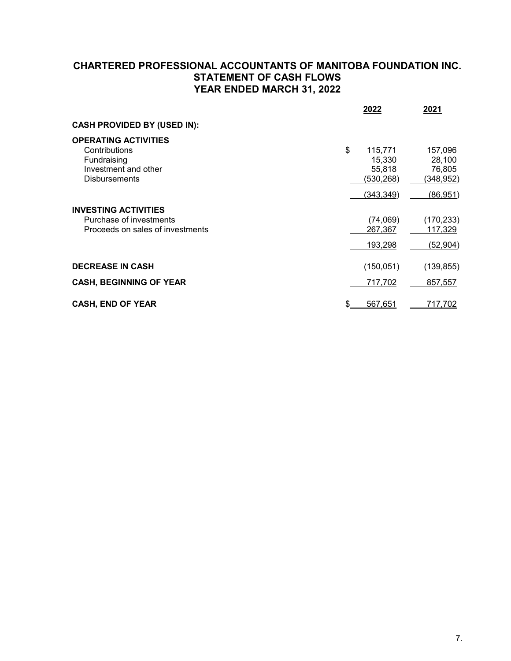# **CHARTERED PROFESSIONAL ACCOUNTANTS OF MANITOBA FOUNDATION INC. STATEMENT OF CASH FLOWS YEAR ENDED MARCH 31, 2022**

|                                                                                                             | 2022                                            | 2021                                            |
|-------------------------------------------------------------------------------------------------------------|-------------------------------------------------|-------------------------------------------------|
| <b>CASH PROVIDED BY (USED IN):</b>                                                                          |                                                 |                                                 |
| <b>OPERATING ACTIVITIES</b><br>Contributions<br>Fundraising<br>Investment and other<br><b>Disbursements</b> | \$<br>115,771<br>15,330<br>55,818<br>(530, 268) | 157,096<br>28,100<br>76,805<br><u>(348,952)</u> |
|                                                                                                             | <u>(343,349)</u>                                | (86, 951)                                       |
| <b>INVESTING ACTIVITIES</b><br>Purchase of investments<br>Proceeds on sales of investments                  | (74,069)<br>267,367<br>193,298                  | (170, 233)<br>117,329<br>(52, 904)              |
| <b>DECREASE IN CASH</b>                                                                                     | (150, 051)                                      | (139, 855)                                      |
| <b>CASH, BEGINNING OF YEAR</b>                                                                              | 717,702                                         | 857,557                                         |
| <b>CASH, END OF YEAR</b>                                                                                    | 567,651                                         | 717,702                                         |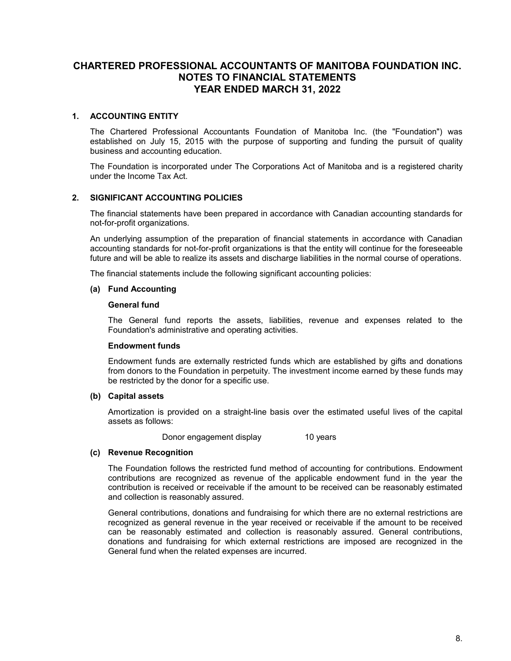#### **1. ACCOUNTING ENTITY**

The Chartered Professional Accountants Foundation of Manitoba Inc. (the "Foundation") was established on July 15, 2015 with the purpose of supporting and funding the pursuit of quality business and accounting education.

The Foundation is incorporated under The Corporations Act of Manitoba and is a registered charity under the Income Tax Act.

#### **2. SIGNIFICANT ACCOUNTING POLICIES**

The financial statements have been prepared in accordance with Canadian accounting standards for not-for-profit organizations.

An underlying assumption of the preparation of financial statements in accordance with Canadian accounting standards for not-for-profit organizations is that the entity will continue for the foreseeable future and will be able to realize its assets and discharge liabilities in the normal course of operations.

The financial statements include the following significant accounting policies:

#### **(a) Fund Accounting**

#### **General fund**

The General fund reports the assets, liabilities, revenue and expenses related to the Foundation's administrative and operating activities.

#### **Endowment funds**

Endowment funds are externally restricted funds which are established by gifts and donations from donors to the Foundation in perpetuity. The investment income earned by these funds may be restricted by the donor for a specific use.

#### **(b) Capital assets**

Amortization is provided on a straight-line basis over the estimated useful lives of the capital assets as follows:

Donor engagement display 10 years

#### **(c) Revenue Recognition**

The Foundation follows the restricted fund method of accounting for contributions. Endowment contributions are recognized as revenue of the applicable endowment fund in the year the contribution is received or receivable if the amount to be received can be reasonably estimated and collection is reasonably assured.

General contributions, donations and fundraising for which there are no external restrictions are recognized as general revenue in the year received or receivable if the amount to be received can be reasonably estimated and collection is reasonably assured. General contributions, donations and fundraising for which external restrictions are imposed are recognized in the General fund when the related expenses are incurred.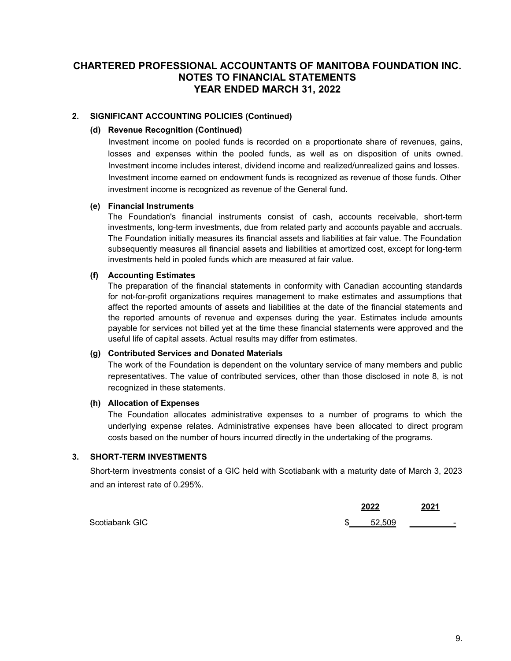#### **2. SIGNIFICANT ACCOUNTING POLICIES (Continued)**

#### **(d) Revenue Recognition (Continued)**

Investment income on pooled funds is recorded on a proportionate share of revenues, gains, losses and expenses within the pooled funds, as well as on disposition of units owned. Investment income includes interest, dividend income and realized/unrealized gains and losses. Investment income earned on endowment funds is recognized as revenue of those funds. Other investment income is recognized as revenue of the General fund.

#### **(e) Financial Instruments**

The Foundation's financial instruments consist of cash, accounts receivable, short-term investments, long-term investments, due from related party and accounts payable and accruals. The Foundation initially measures its financial assets and liabilities at fair value. The Foundation subsequently measures all financial assets and liabilities at amortized cost, except for long-term investments held in pooled funds which are measured at fair value.

### **(f) Accounting Estimates**

The preparation of the financial statements in conformity with Canadian accounting standards for not-for-profit organizations requires management to make estimates and assumptions that affect the reported amounts of assets and liabilities at the date of the financial statements and the reported amounts of revenue and expenses during the year. Estimates include amounts payable for services not billed yet at the time these financial statements were approved and the useful life of capital assets. Actual results may differ from estimates.

#### **(g) Contributed Services and Donated Materials**

The work of the Foundation is dependent on the voluntary service of many members and public representatives. The value of contributed services, other than those disclosed in note 8, is not recognized in these statements.

#### **(h) Allocation of Expenses**

The Foundation allocates administrative expenses to a number of programs to which the underlying expense relates. Administrative expenses have been allocated to direct program costs based on the number of hours incurred directly in the undertaking of the programs.

#### **3. SHORT-TERM INVESTMENTS**

Short-term investments consist of a GIC held with Scotiabank with a maturity date of March 3, 2023 and an interest rate of 0.295%.

|                | 2022         | 2021   |
|----------------|--------------|--------|
| Scotiabank GIC | \$<br>52,509 | $\sim$ |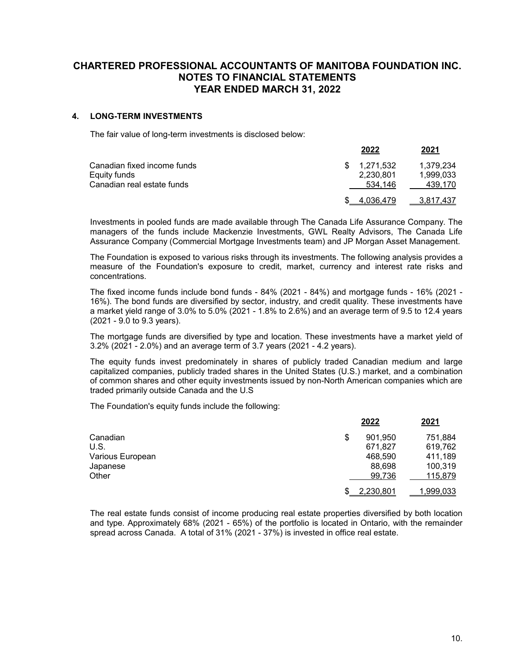#### **4. LONG-TERM INVESTMENTS**

The fair value of long-term investments is disclosed below:

|                             | 2022      | 2021      |
|-----------------------------|-----------|-----------|
| Canadian fixed income funds | 1.271.532 | 1.379.234 |
| Equity funds                | 2,230,801 | 1.999.033 |
| Canadian real estate funds  | 534.146   | 439.170   |
|                             | 4.036.479 | 3,817,437 |

Investments in pooled funds are made available through The Canada Life Assurance Company. The managers of the funds include Mackenzie Investments, GWL Realty Advisors, The Canada Life Assurance Company (Commercial Mortgage Investments team) and JP Morgan Asset Management.

The Foundation is exposed to various risks through its investments. The following analysis provides a measure of the Foundation's exposure to credit, market, currency and interest rate risks and concentrations.

The fixed income funds include bond funds - 84% (2021 - 84%) and mortgage funds - 16% (2021 - 16%). The bond funds are diversified by sector, industry, and credit quality. These investments have a market yield range of 3.0% to 5.0% (2021 - 1.8% to 2.6%) and an average term of 9.5 to 12.4 years (2021 - 9.0 to 9.3 years).

The mortgage funds are diversified by type and location. These investments have a market yield of 3.2% (2021 - 2.0%) and an average term of 3.7 years (2021 - 4.2 years).

The equity funds invest predominately in shares of publicly traded Canadian medium and large capitalized companies, publicly traded shares in the United States (U.S.) market, and a combination of common shares and other equity investments issued by non-North American companies which are traded primarily outside Canada and the U.S

The Foundation's equity funds include the following:

|                  |    | 2022      | 2021           |
|------------------|----|-----------|----------------|
| Canadian         | \$ | 901,950   | 751,884        |
| U.S.             |    | 671,827   | 619,762        |
| Various European |    | 468,590   | 411,189        |
| Japanese         |    | 88,698    | 100,319        |
| Other            |    | 99,736    | 115,879        |
|                  | S  | 2,230,801 | <u>999,033</u> |

The real estate funds consist of income producing real estate properties diversified by both location and type. Approximately 68% (2021 - 65%) of the portfolio is located in Ontario, with the remainder spread across Canada. A total of 31% (2021 - 37%) is invested in office real estate.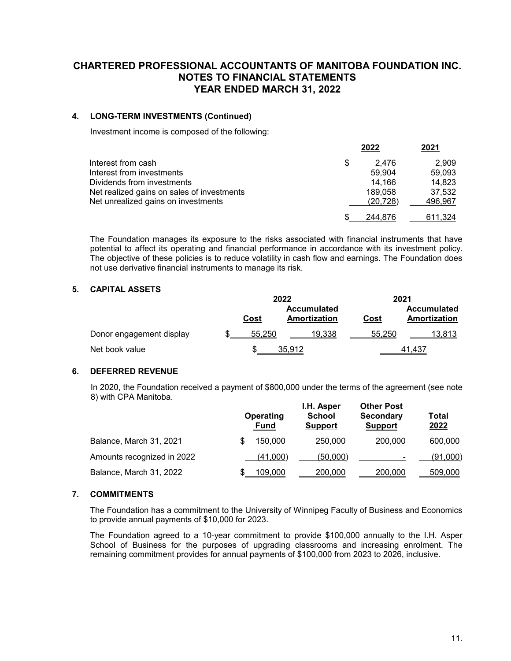#### **4. LONG-TERM INVESTMENTS (Continued)**

Investment income is composed of the following:

|                                            | 2022        | 2021    |
|--------------------------------------------|-------------|---------|
| Interest from cash                         | \$<br>2.476 | 2.909   |
| Interest from investments                  | 59,904      | 59,093  |
| Dividends from investments                 | 14,166      | 14,823  |
| Net realized gains on sales of investments | 189.058     | 37,532  |
| Net unrealized gains on investments        | (20, 728)   | 496,967 |
|                                            | 244.876     | 611.324 |

The Foundation manages its exposure to the risks associated with financial instruments that have potential to affect its operating and financial performance in accordance with its investment policy. The objective of these policies is to reduce volatility in cash flow and earnings. The Foundation does not use derivative financial instruments to manage its risk.

#### **5. CAPITAL ASSETS**

|                          |        | 2022                               | 2021   |                                    |  |  |
|--------------------------|--------|------------------------------------|--------|------------------------------------|--|--|
|                          | Cost   | <b>Accumulated</b><br>Amortization | Cost   | <b>Accumulated</b><br>Amortization |  |  |
| Donor engagement display | 55.250 | 19,338                             | 55.250 | 13.813                             |  |  |
| Net book value           |        | 35.912                             |        | 41.437                             |  |  |

#### **6. DEFERRED REVENUE**

In 2020, the Foundation received a payment of \$800,000 under the terms of the agreement (see note 8) with CPA Manitoba.

|                            | Operating<br><b>Fund</b> | I.H. Asper<br><b>School</b><br><b>Support</b> | <b>Other Post</b><br><b>Secondary</b><br><b>Support</b> | Total<br>2022 |
|----------------------------|--------------------------|-----------------------------------------------|---------------------------------------------------------|---------------|
| Balance, March 31, 2021    | 150,000                  | 250,000                                       | 200,000                                                 | 600,000       |
| Amounts recognized in 2022 | (41,000)                 | (50,000)                                      |                                                         | (91,000)      |
| Balance, March 31, 2022    | 109,000                  | 200,000                                       | 200,000                                                 | 509,000       |

#### **7. COMMITMENTS**

The Foundation has a commitment to the University of Winnipeg Faculty of Business and Economics to provide annual payments of \$10,000 for 2023.

The Foundation agreed to a 10-year commitment to provide \$100,000 annually to the I.H. Asper School of Business for the purposes of upgrading classrooms and increasing enrolment. The remaining commitment provides for annual payments of \$100,000 from 2023 to 2026, inclusive.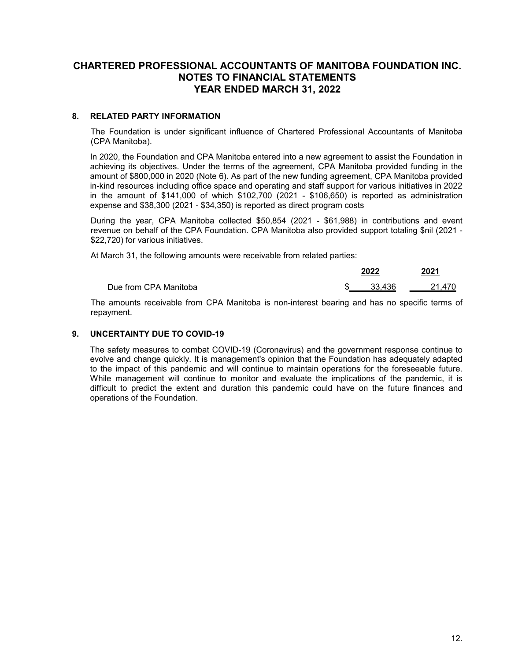#### **8. RELATED PARTY INFORMATION**

The Foundation is under significant influence of Chartered Professional Accountants of Manitoba (CPA Manitoba).

In 2020, the Foundation and CPA Manitoba entered into a new agreement to assist the Foundation in achieving its objectives. Under the terms of the agreement, CPA Manitoba provided funding in the amount of \$800,000 in 2020 (Note 6). As part of the new funding agreement, CPA Manitoba provided in-kind resources including office space and operating and staff support for various initiatives in 2022 in the amount of  $$141,000$  of which  $$102,700$  (2021 -  $$106,650$ ) is reported as administration expense and \$38,300 (2021 - \$34,350) is reported as direct program costs

During the year, CPA Manitoba collected \$50,854 (2021 - \$61,988) in contributions and event revenue on behalf of the CPA Foundation. CPA Manitoba also provided support totaling \$nil (2021 - \$22,720) for various initiatives.

At March 31, the following amounts were receivable from related parties:

|                       | 2022   | 2021   |
|-----------------------|--------|--------|
| Due from CPA Manitoba | 33.436 | 21.470 |

The amounts receivable from CPA Manitoba is non-interest bearing and has no specific terms of repayment.

#### **9. UNCERTAINTY DUE TO COVID-19**

The safety measures to combat COVID-19 (Coronavirus) and the government response continue to evolve and change quickly. It is management's opinion that the Foundation has adequately adapted to the impact of this pandemic and will continue to maintain operations for the foreseeable future. While management will continue to monitor and evaluate the implications of the pandemic, it is difficult to predict the extent and duration this pandemic could have on the future finances and operations of the Foundation.